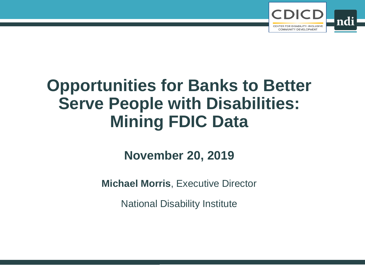

# **Opportunities for Banks to Better Serve People with Disabilities: Mining FDIC Data**

## **November 20, 2019**

**Michael Morris**, Executive Director

National Disability Institute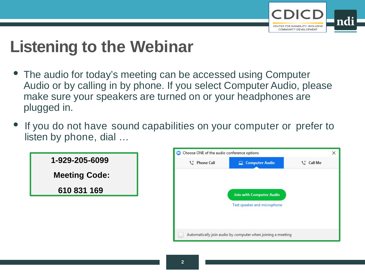

X

# **Listening to the Webinar**

- The audio for today's meeting can be accessed using Computer Audio or by calling in by phone. If you select Computer Audio, please make sure your speakers are turned on or your headphones are plugged in.
- If you do not have sound capabilities on your computer or prefer to listen by phone, dial …



Automatically join audio by computer when joining a meeting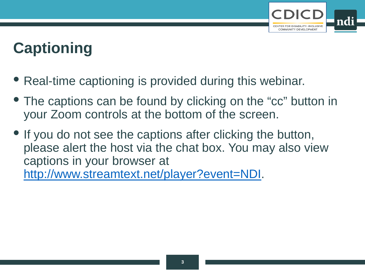

# **Captioning**

- Real-time captioning is provided during this webinar.
- The captions can be found by clicking on the "cc" button in your Zoom controls at the bottom of the screen.
- If you do not see the captions after clicking the button, please alert the host via the chat box. You may also view captions in your browser at [http://www.streamtext.net/player?event=NDI.](http://www.streamtext.net/player?event=NDI)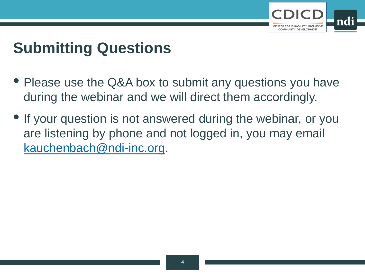

## **Submitting Questions**

- Please use the Q&A box to submit any questions you have during the webinar and we will direct them accordingly.
- If your question is not answered during the webinar, or you are listening by phone and not logged in, you may email [kauchenbach@ndi-inc.org.](mailto:kauchenbach@ndi-inc.org)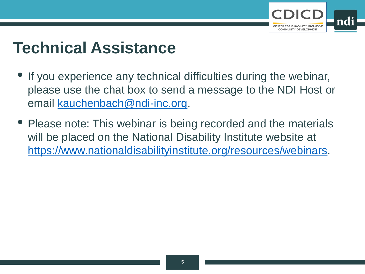

# **Technical Assistance**

- If you experience any technical difficulties during the webinar, please use the chat box to send a message to the NDI Host or email [kauchenbach@ndi-inc.org.](mailto:kauchenbach@ndi-inc.org)
- Please note: This webinar is being recorded and the materials will be placed on the National Disability Institute website at [https://www.nationaldisabilityinstitute.org/resources/webinars.](https://www.nationaldisabilityinstitute.org/resources/webinars)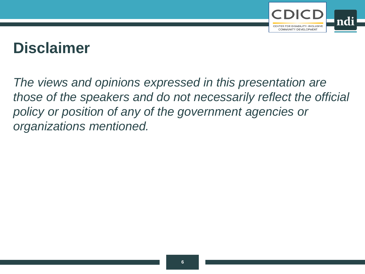

## **Disclaimer**

*The views and opinions expressed in this presentation are those of the speakers and do not necessarily reflect the official policy or position of any of the government agencies or organizations mentioned.*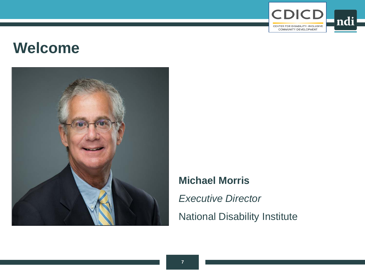

## **Welcome**



## **Michael Morris**

*Executive Director*

National Disability Institute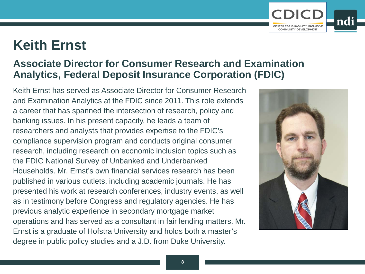## **Keith Ernst**

## **Associate Director for Consumer Research and Examination Analytics, Federal Deposit Insurance Corporation (FDIC)**

Keith Ernst has served as Associate Director for Consumer Research and Examination Analytics at the FDIC since 2011. This role extends a career that has spanned the intersection of research, policy and banking issues. In his present capacity, he leads a team of researchers and analysts that provides expertise to the FDIC's compliance supervision program and conducts original consumer research, including research on economic inclusion topics such as the FDIC National Survey of Unbanked and Underbanked Households. Mr. Ernst's own financial services research has been published in various outlets, including academic journals. He has presented his work at research conferences, industry events, as well as in testimony before Congress and regulatory agencies. He has previous analytic experience in secondary mortgage market operations and has served as a consultant in fair lending matters. Mr. Ernst is a graduate of Hofstra University and holds both a master's degree in public policy studies and a J.D. from Duke University.



COMMUNITY DEVELOPMENT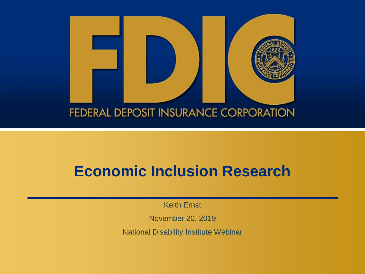

## **Economic Inclusion Research**

Keith Ernst

November 20, 2019

National Disability Institute Webinar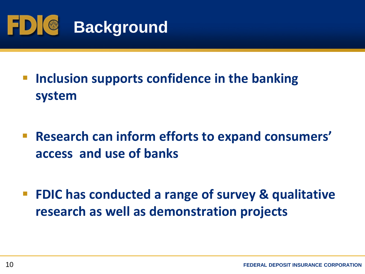

- **F** Inclusion supports confidence in the banking **system**
- **Research can inform efforts to expand consumers' access and use of banks**
- **FDIC has conducted a range of survey & qualitative research as well as demonstration projects**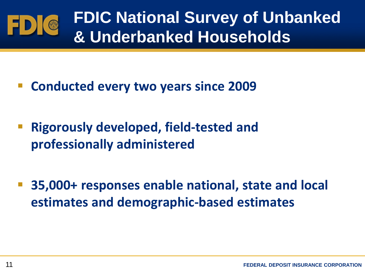

- **Conducted every two years since 2009**
- **Rigorously developed, field-tested and professionally administered**
- **35,000+ responses enable national, state and local estimates and demographic-based estimates**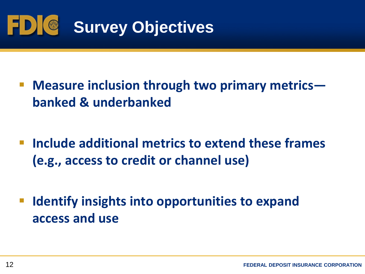

- **Measure inclusion through two primary metrics banked & underbanked**
- **Include additional metrics to extend these frames (e.g., access to credit or channel use)**
- **Identify insights into opportunities to expand access and use**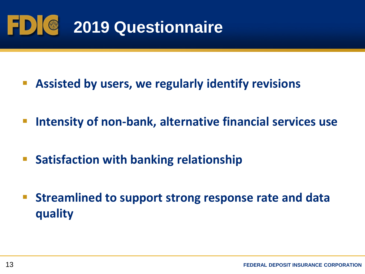

- **Assisted by users, we regularly identify revisions**
- **Intensity of non-bank, alternative financial services use**
- **Satisfaction with banking relationship**
- **Streamlined to support strong response rate and data quality**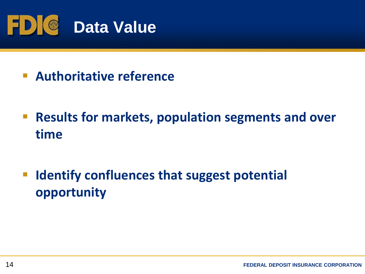

- **Authoritative reference**
- **Results for markets, population segments and over time**
- **Identify confluences that suggest potential opportunity**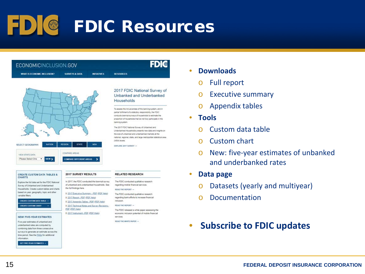# FDIC Resources

**DESCHIDEFE** 

### ECONOMICINCLUSION.GOV

**WHAT IS ECONOMIC INCLUSION?** 

SURVEYS & DATA **INITIATIVES** 



| SELECT GEOGRAPHY: |  |                      |                                |  |
|-------------------|--|----------------------|--------------------------------|--|
| VIEW STATE DATA:  |  | <b>COMPARE AREAS</b> |                                |  |
| Please Select One |  |                      | <b>COMPARE DIFFERENT AREAS</b> |  |

2017 SURVEY RESULTS

b 2017 Report - PDE (PDE Help)

the full findings here.

PDE (PDF Help)

In 2017, the FDIC conducted the biennial survey

of unbanked and underbanked households. See

D 2017 Executive Summary - PDF (PDF Help)

D 2017 Technical Notes and Survey Revisions -

D 2017 Accendor Tables - PDF (PDF Help)

0 2017 Instrument - PDF (PDF Help)

#### **CREATE CUSTOM DATA TABLES &** CHARTS

Explore the full data set for the FDIC National Survey of Unbanked and Underbanked Households. Create custom tables and charts based on year, geography, topic and other variable filters.

CREATE CUSTOM DATA TABLE -**CREATE CUSTOM CHART** 

### **NEW! FIVE-YEAR ESTIMATES**

Five-year estimates of unbanked and underbanked rates are computed by combining data from three consecutive surveys to generate an estimate across the time period. See the EAQs for additional information

GET FIVE-YEAR ESTIMATES -

### 2017 FDIC National Survey of Unbanked and Underbanked Households

**FDI®** 

To assess the inclusiveness of the banking system, and in partial fulfillment of a statutory responsibility, the FDIC conducts blendal surveys of households to estimate the proportion of households that do not fully participate in the banking system.

The 2017 FDIC National Survey of Unbanked and Underbanked Households presents new data and insights on the size of unbanked and underbanked markets at the national, regional, state, and large metropolitan statistical area (MSA) levels.

EXPLORE 2017 SURVEY -

### **RELATED RESEARCH**

The FDIC conducted qualitative research regarding mobile financial services.

#### READ THE REPORT -

The FDIC conducted qualitative research regarding bank efforts to increase financial inclusion

### READ THE REPORT -

The FDIC released a white paper assessing the economic inclusion potential of mobile financial services

READ THE WHITE PAPER -

### • **Downloads**

- o Full report
- o Executive summary
- o Appendix tables
- **Tools**
	- o Custom data table
	- o Custom chart
	- o New: five-year estimates of unbanked and underbanked rates
- **Data page**
	- Datasets (yearly and multiyear)
	- o Documentation

### • **Subscribe to FDIC updates**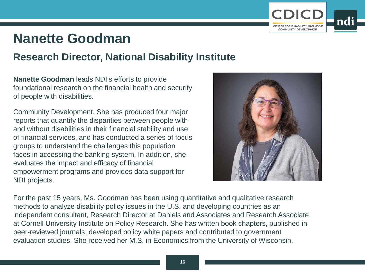

## **Nanette Goodman**

## **Research Director, National Disability Institute**

**Nanette Goodman** leads NDI's efforts to provide foundational research on the financial health and security of people with disabilities.

Community Development. She has produced four major reports that quantify the disparities between people with and without disabilities in their financial stability and use of financial services, and has conducted a series of focus groups to understand the challenges this population faces in accessing the banking system. In addition, she evaluates the impact and efficacy of financial empowerment programs and provides data support for NDI projects.



For the past 15 years, Ms. Goodman has been using quantitative and qualitative research methods to analyze disability policy issues in the U.S. and developing countries as an independent consultant, Research Director at Daniels and Associates and Research Associate at Cornell University Institute on Policy Research. She has written book chapters, published in peer-reviewed journals, developed policy white papers and contributed to government evaluation studies. She received her M.S. in Economics from the University of Wisconsin.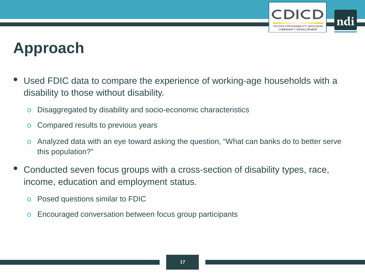

## **Approach**

- Used FDIC data to compare the experience of working-age households with a disability to those without disability.
	- o Disaggregated by disability and socio-economic characteristics
	- o Compared results to previous years
	- o Analyzed data with an eye toward asking the question, "What can banks do to better serve this population?"
- Conducted seven focus groups with a cross-section of disability types, race, income, education and employment status.
	- o Posed questions similar to FDIC
	- o Encouraged conversation between focus group participants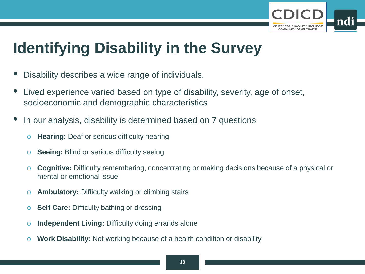

## **Identifying Disability in the Survey**

- Disability describes a wide range of individuals.
- Lived experience varied based on type of disability, severity, age of onset, socioeconomic and demographic characteristics
- In our analysis, disability is determined based on 7 questions
	- o **Hearing:** Deaf or serious difficulty hearing
	- o **Seeing:** Blind or serious difficulty seeing
	- o **Cognitive:** Difficulty remembering, concentrating or making decisions because of a physical or mental or emotional issue
	- o **Ambulatory:** Difficulty walking or climbing stairs
	- o **Self Care:** Difficulty bathing or dressing
	- o **Independent Living:** Difficulty doing errands alone
	- o **Work Disability:** Not working because of a health condition or disability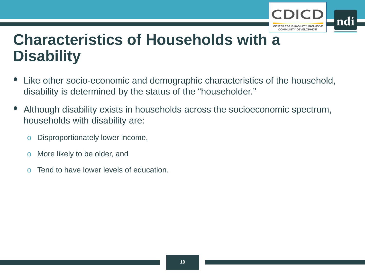

## **Characteristics of Households with a Disability**

- Like other socio-economic and demographic characteristics of the household, disability is determined by the status of the "householder."
- Although disability exists in households across the socioeconomic spectrum, households with disability are:
	- o Disproportionately lower income,
	- o More likely to be older, and
	- o Tend to have lower levels of education.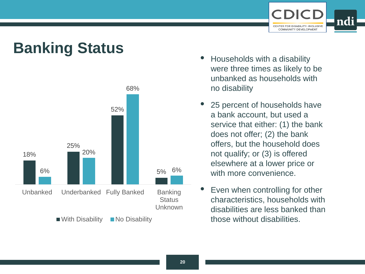

# **Banking Status**<br>• Households with a disability



- were three times as likely to be unbanked as households with no disability
- 25 percent of households have a bank account, but used a service that either: (1) the bank does not offer; (2) the bank offers, but the household does not qualify; or (3) is offered elsewhere at a lower price or with more convenience.
- Even when controlling for other characteristics, households with disabilities are less banked than those without disabilities.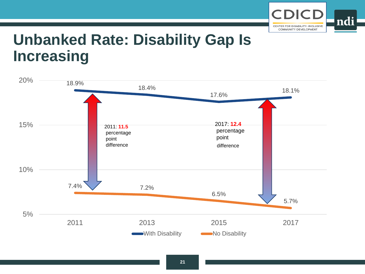

## **Unbanked Rate: Disability Gap Is Increasing**

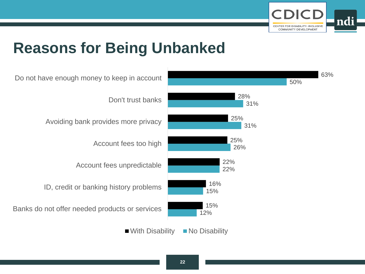

## **Reasons for Being Unbanked**

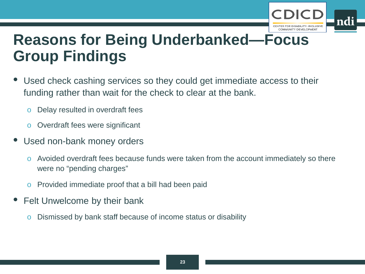

## **Reasons for Being Underbanked—Focus Group Findings**

- Used check cashing services so they could get immediate access to their funding rather than wait for the check to clear at the bank.
	- o Delay resulted in overdraft fees
	- o Overdraft fees were significant
- Used non-bank money orders
	- o Avoided overdraft fees because funds were taken from the account immediately so there were no "pending charges"
	- o Provided immediate proof that a bill had been paid
- Felt Unwelcome by their bank
	- o Dismissed by bank staff because of income status or disability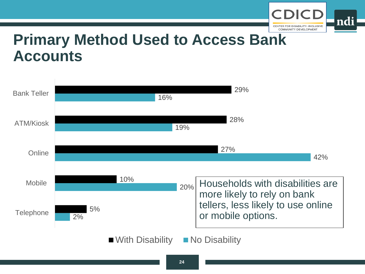

## **Primary Method Used to Access Bank Accounts**

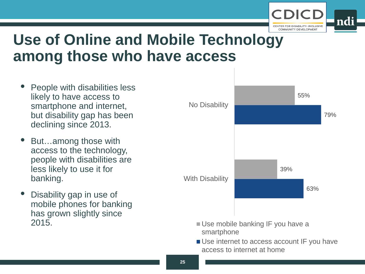

## **Use of Online and Mobile Technology among those who have access**

- People with disabilities less likely to have access to smartphone and internet, but disability gap has been declining since 2013.
- But…among those with access to the technology, people with disabilities are less likely to use it for banking.
- Disability gap in use of mobile phones for banking has grown slightly since 2015.



- Use mobile banking IF you have a smartphone
- Use internet to access account IF you have access to internet at home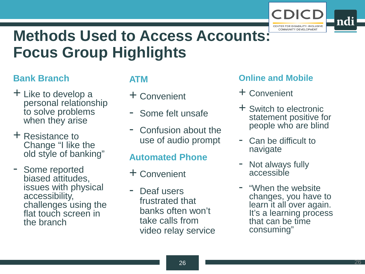

ndi

## **Methods Used to Access Accounts: Focus Group Highlights**

### **Bank Branch**

- + Like to develop a personal relationship to solve problems when they arise
- + Resistance to Change "I like the old style of banking"
- Some reported biased attitudes, issues with physical accessibility, challenges using the flat touch screen in the branch

## **ATM**

- + Convenient
- Some felt unsafe
- Confusion about the use of audio prompt

### **Automated Phone**

- + Convenient
- Deaf users frustrated that banks often won't take calls from video relay service

### **Online and Mobile**

- + Convenient
- + Switch to electronic statement positive for people who are blind
- Can be difficult to navigate
- Not always fully accessible
- "When the website changes, you have to learn it all over again. It's a learning process that can be time consuming"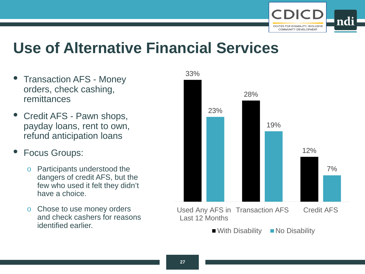

## **Use of Alternative Financial Services**

- Transaction AFS Money orders, check cashing, remittances
- Credit AFS Pawn shops, payday loans, rent to own, refund anticipation loans
- Focus Groups:
	- o Participants understood the dangers of credit AFS, but the few who used it felt they didn't have a choice.
	- o Chose to use money orders and check cashers for reasons identified earlier.

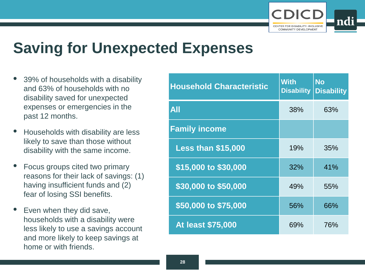

## **Saving for Unexpected Expenses**

- 39% of households with a disability and 63% of households with no disability saved for unexpected expenses or emergencies in the past 12 months.
- Households with disability are less likely to save than those without disability with the same income.
- Focus groups cited two primary reasons for their lack of savings: (1) having insufficient funds and (2) fear of losing SSI benefits.
- Even when they did save, households with a disability were less likely to use a savings account and more likely to keep savings at home or with friends.

| <b>Household Characteristic</b> | <b>With</b><br><b>Disability</b> | <b>No</b><br><b>Disability</b> |
|---------------------------------|----------------------------------|--------------------------------|
| All                             | 38%                              | 63%                            |
| <b>Family income</b>            |                                  |                                |
| <b>Less than \$15,000</b>       | 19%                              | 35%                            |
| \$15,000 to \$30,000            | 32%                              | 41%                            |
| \$30,000 to \$50,000            | 49%                              | 55%                            |
| \$50,000 to \$75,000            | 56%                              | 66%                            |
| <b>At least \$75,000</b>        | 69%                              | 76%                            |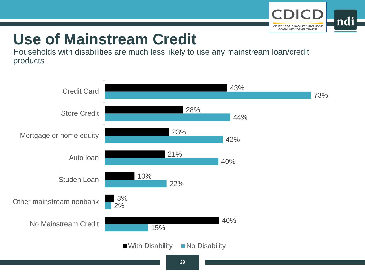

# **Use of Mainstream Credit**

Households with disabilities are much less likely to use any mainstream loan/credit products

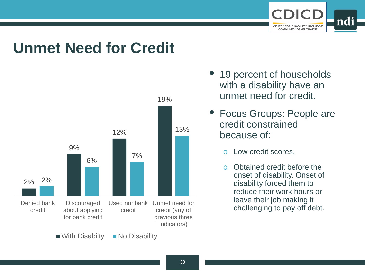

## **Unmet Need for Credit**



- 19 percent of households with a disability have an unmet need for credit.
- Focus Groups: People are credit constrained because of:
	- o Low credit scores,
	- o Obtained credit before the onset of disability. Onset of disability forced them to reduce their work hours or leave their job making it challenging to pay off debt.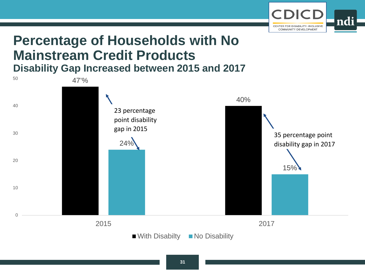

## **Percentage of Households with No Mainstream Credit Products Disability Gap Increased between 2015 and 2017**

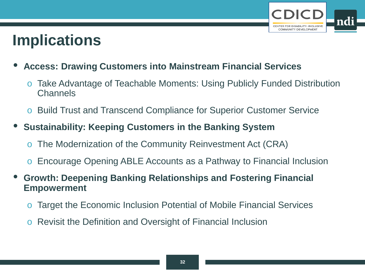

## **Implications**

- **Access: Drawing Customers into Mainstream Financial Services**
	- o Take Advantage of Teachable Moments: Using Publicly Funded Distribution **Channels**
	- o Build Trust and Transcend Compliance for Superior Customer Service
- **Sustainability: Keeping Customers in the Banking System**
	- o The Modernization of the Community Reinvestment Act (CRA)
	- o Encourage Opening ABLE Accounts as a Pathway to Financial Inclusion
- **Growth: Deepening Banking Relationships and Fostering Financial Empowerment**
	- o Target the Economic Inclusion Potential of Mobile Financial Services
	- o Revisit the Definition and Oversight of Financial Inclusion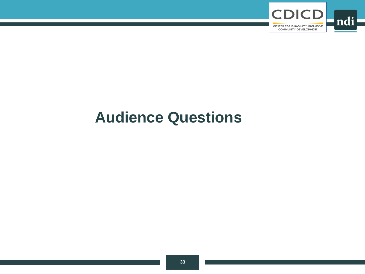

## **Audience Questions**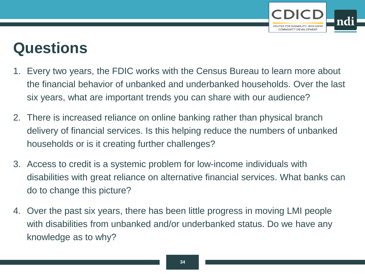

## **Questions**

- 1. Every two years, the FDIC works with the Census Bureau to learn more about the financial behavior of unbanked and underbanked households. Over the last six years, what are important trends you can share with our audience?
- 2. There is increased reliance on online banking rather than physical branch delivery of financial services. Is this helping reduce the numbers of unbanked households or is it creating further challenges?
- 3. Access to credit is a systemic problem for low-income individuals with disabilities with great reliance on alternative financial services. What banks can do to change this picture?
- 4. Over the past six years, there has been little progress in moving LMI people with disabilities from unbanked and/or underbanked status. Do we have any knowledge as to why?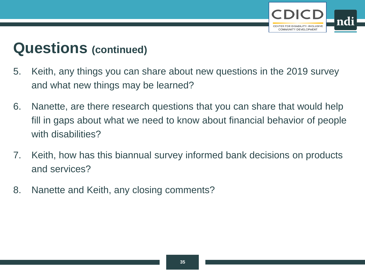

## **Questions (continued)**

- 5. Keith, any things you can share about new questions in the 2019 survey and what new things may be learned?
- 6. Nanette, are there research questions that you can share that would help fill in gaps about what we need to know about financial behavior of people with disabilities?
- 7. Keith, how has this biannual survey informed bank decisions on products and services?
- 8. Nanette and Keith, any closing comments?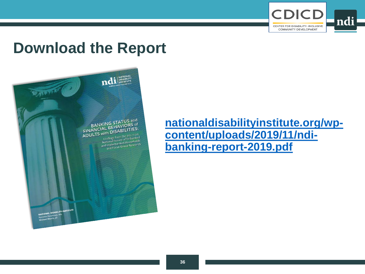

## **Download the Report**

BANKING STATUS and<br>BANKING STAVIORS of<br>FINANCIAL BEHAVIORS **BANKIAL BEHAVIORS 65:**<br>ADULTS with DISABILITIES:<br>ADULTS with DISABILITIES: With UIDED"<br>
Indings from the 2017 FDIC<br>
National Survey of Unbanked<br>
and Underhanked Households<br>
and Indertual Group Research ational aviated Househouse<br>d Underbanked Househouse<br>and Focus Group Research

ndi MATIONAL

**[nationaldisabilityinstitute.org/wp](https://www.nationaldisabilityinstitute.org/wp-content/uploads/2019/11/ndi-banking-report-2019.pdf)content/uploads/2019/11/ndibanking-report-2019.pdf**

**UAL DISABILITY INST**